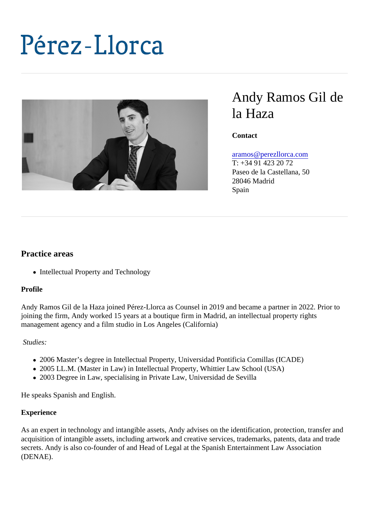# Andy Ramos Gil de la Haza

**Contact** 

## [aramos@perezllorca.co](mailto:aramos@perezllorca.com)m

T: +34 91 423 20 72 Paseo de la Castellana, 50 28046 Madrid Spain

## Practice areas

• Intellectual Property and Technology

## Profile

Andy Ramos Gil de la Haza joined Pérez-Llorca as Counsel in 2019 and became a partner in 2022. Prior t joining the firm, Andy worked 15 years at a boutique firm in Madrid, an intellectual property rights management agency and a film studio in Los Angeles (California)

## Studies:

- 2006 Master's degree in Intellectual Property, Universidad Pontificia Comillas (ICADE)
- 2005 LL.M. (Master in Law) in Intellectual Property, Whittier Law School (USA)
- 2003 Degree in Law, specialising in Private Law, Universidad de Sevilla

He speaks Spanish and English.

## **Experience**

As an expert in technology and intangible assets, Andy advises on the identification, protection, transfer and acquisition of intangible assets, including artwork and creative services, trademarks, patents, data and trad secrets. Andy is also co-founder of and Head of Legal at the Spanish Entertainment Law Association (DENAE).